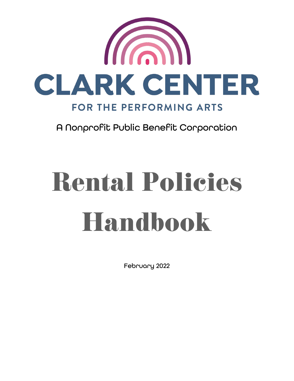

A Nonprofit Public Benefit Corporation

# Rental Policies Handbook

February 2022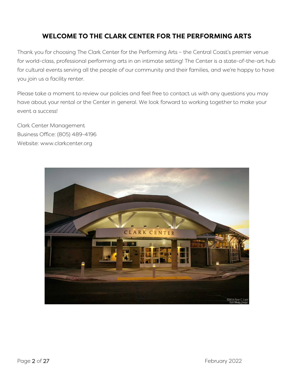#### **WELCOME TO THE CLARK CENTER FOR THE PERFORMING ARTS**

Thank you for choosing The Clark Center for the Performing Arts – the Central Coast's premier venue for world-class, professional performing arts in an intimate setting! The Center is a state-of-the-art hub for cultural events serving all the people of our community and their families, and we're happy to have you join us a facility renter.

Please take a moment to review our policies and feel free to contact us with any questions you may have about your rental or the Center in general. We look forward to working together to make your event a success!

Clark Center Management Business Office: (805) 489-4196 Website: www.clarkcenter.org

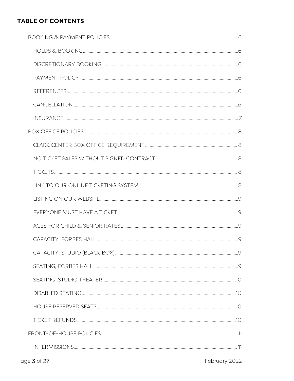#### **TABLE OF CONTENTS**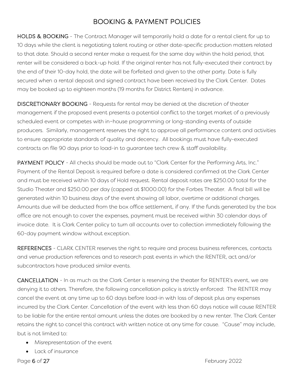## BOOKING & PAYMENT POLICIES

<span id="page-5-1"></span><span id="page-5-0"></span>HOLDS & BOOKING - The Contract Manager will temporarily hold a date for a rental client for up to 10 days while the client is negotiating talent routing or other date-specific production matters related to that date. Should a second renter make a request for the same day within the hold period, that renter will be considered a back-up hold. If the original renter has not fully-executed their contract by the end of their 10-day hold, the date will be forfeited and given to the other party. Date is fully secured when a rental deposit and signed contract have been received by the Clark Center. Dates may be booked up to eighteen months (19 months for District Renters) in advance.

<span id="page-5-2"></span>DISCRETIONARY BOOKING - Requests for rental may be denied at the discretion of theater management if the proposed event presents a potential conflict to the target market of a previously scheduled event or competes with in-house programming or long-standing events of outside producers. Similarly, management reserves the right to approve all performance content and activities to ensure appropriate standards of quality and decency. All bookings must have fully-executed contracts on file 90 days prior to load-in to guarantee tech crew & staff availability.

<span id="page-5-3"></span>PAYMENT POLICY - All checks should be made out to "Clark Center for the Performing Arts, Inc." Payment of the Rental Deposit is required before a date is considered confirmed at the Clark Center and must be received within 10 days of Hold request. Rental deposit rates are \$250.00 total for the Studio Theater and \$250.00 per day (capped at \$1000.00) for the Forbes Theater. A final bill will be generated within 10 business days of the event showing all labor, overtime or additional charges. Amounts due will be deducted from the box office settlement, if any. If the funds generated by the box office are not enough to cover the expenses, payment must be received within 30 calendar days of invoice date. It is Clark Center policy to turn all accounts over to collection immediately following the 60-day payment window without exception.

<span id="page-5-4"></span>REFERENCES - CLARK CENTER reserves the right to require and process business references, contacts and venue production references and to research past events in which the RENTER, act and/or subcontractors have produced similar events.

<span id="page-5-5"></span>CANCELLATION - In as much as the Clark Center is reserving the theater for RENTER's event, we are denying it to others. Therefore, the following cancellation policy is strictly enforced: The RENTER may cancel the event at any time up to 60 days before load-in with loss of deposit plus any expenses incurred by the Clark Center. Cancellation of the event with less than 60 days notice will cause RENTER to be liable for the entire rental amount unless the dates are booked by a new renter. The Clark Center retains the right to cancel this contract with written notice at any time for cause. "Cause" may include, but is not limited to:

- Misrepresentation of the event
- Lack of insurance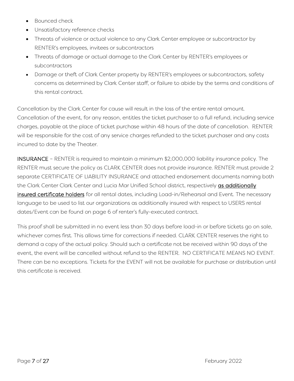- Bounced check
- Unsatisfactory reference checks
- Threats of violence or actual violence to any Clark Center employee or subcontractor by RENTER's employees, invitees or subcontractors
- Threats of damage or actual damage to the Clark Center by RENTER's employees or subcontractors
- Damage or theft of Clark Center property by RENTER's employees or subcontractors, safety concerns as determined by Clark Center staff, or failure to abide by the terms and conditions of this rental contract.

Cancellation by the Clark Center for cause will result in the loss of the entire rental amount. Cancellation of the event, for any reason, entitles the ticket purchaser to a full refund, including service charges, payable at the place of ticket purchase within 48 hours of the date of cancellation. RENTER will be responsible for the cost of any service charges refunded to the ticket purchaser and any costs incurred to date by the Theater.

<span id="page-6-0"></span>INSURANCE – RENTER is required to maintain a minimum \$2,000,000 liability insurance policy. The RENTER must secure the policy as CLARK CENTER does not provide insurance. RENTER must provide 2 separate CERTIFICATE OF LIABILITY INSURANCE and attached endorsement documents naming both the Clark Center Clark Center and Lucia Mar Unified School district, respectively as additionally insured certificate holders for all rental dates, including Load-in/Rehearsal and Event. The necessary language to be used to list our organizations as additionally insured with respect to USERS rental dates/Event can be found on page 6 of renter's fully-executed contract.

This proof shall be submitted in no event less than 30 days before load-in or before tickets go on sale, whichever comes first. This allows time for corrections if needed. CLARK CENTER reserves the right to demand a copy of the actual policy. Should such a certificate not be received within 90 days of the event, the event will be cancelled without refund to the RENTER. NO CERTIFICATE MEANS NO EVENT. There can be no exceptions. Tickets for the EVENT will not be available for purchase or distribution until this certificate is received.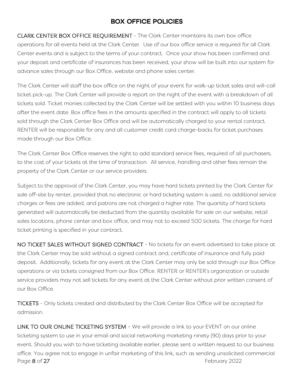### BOX OFFICE POLICIES

<span id="page-7-1"></span><span id="page-7-0"></span>CLARK CENTER BOX OFFICE REQUIREMENT - The Clark Center maintains its own box office operations for all events held at the Clark Center. Use of our box office service is required for all Clark Center events and is subject to the terms of your contract. Once your show has been confirmed and your deposit and certificate of insurances has been received, your show will be built into our system for advance sales through our Box Office, website and phone sales center.

The Clark Center will staff the box office on the night of your event for walk-up ticket sales and will-call ticket pick-up. The Clark Center will provide a report on the night of the event with a breakdown of all tickets sold. Ticket monies collected by the Clark Center will be settled with you within 10 business days after the event date. Box office fees in the amounts specified in the contract will apply to all tickets sold through the Clark Center Box Office and will be automatically charged to your rental contract. RENTER will be responsible for any and all customer credit card charge-backs for ticket purchases made through our Box Office.

The Clark Center Box Office reserves the right to add standard service fees, required of all purchasers, to the cost of your tickets at the time of transaction. All service, handling and other fees remain the property of the Clark Center or our service providers.

Subject to the approval of the Clark Center, you may have hard tickets printed by the Clark Center for sale off-site by renter, provided that no electronic or hard ticketing system is used, no additional service charges or fees are added, and patrons are not charged a higher rate. The quantity of hard tickets generated will automatically be deducted from the quantity available for sale on our website, retail sales locations, phone center and box office, and may not to exceed 500 tickets. The charge for hard ticket printing is specified in your contract.

<span id="page-7-2"></span>NO TICKET SALES WITHOUT SIGNED CONTRACT - No tickets for an event advertised to take place at the Clark Center may be sold without a signed contract and, certificate of insurance and fully paid deposit. Additionally, tickets for any event at the Clark Center may only be sold through our Box Office operations or via tickets consigned from our Box Office. RENTER or RENTER's organization or outside service providers may not sell tickets for any event at the Clark Center without prior written consent of our Box Office.

<span id="page-7-3"></span>TICKETS - Only tickets created and distributed by the Clark Center Box Office will be accepted for admission.

<span id="page-7-4"></span>Page 8 of 27 February 2022 LINK TO OUR ONLINE TICKETING SYSTEM - We will provide a link to your EVENT on our online ticketing system to use in your email and social networking marketing ninety (90) days prior to your event. Should you wish to have ticketing available earlier, please sent a written request to our business office. You agree not to engage in unfair marketing of this link, such as sending unsolicited commercial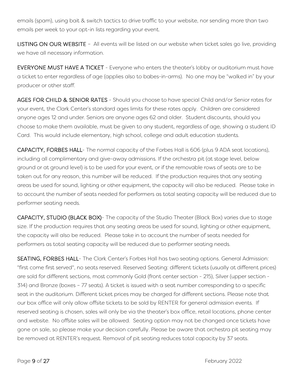emails (spam), using bait & switch tactics to drive traffic to your website, nor sending more than two emails per week to your opt-in lists regarding your event.

<span id="page-8-0"></span>LISTING ON OUR WEBSITE – All events will be listed on our website when ticket sales go live, providing we have all necessary information.

<span id="page-8-1"></span>EVERYONE MUST HAVE A TICKET - Everyone who enters the theater's lobby or auditorium must have a ticket to enter regardless of age (applies also to babes-in-arms). No one may be "walked in" by your producer or other staff.

<span id="page-8-2"></span>AGES FOR CHILD & SENIOR RATES - Should you choose to have special Child and/or Senior rates for your event, the Clark Center's standard ages limits for these rates apply. Children are considered anyone ages 12 and under. Seniors are anyone ages 62 and older. Student discounts, should you choose to make them available, must be given to any student, regardless of age, showing a student ID Card. This would include elementary, high school, college and adult education students.

<span id="page-8-3"></span>CAPACITY, FORBES HALL- The normal capacity of the Forbes Hall is 606 (plus 9 ADA seat locations), including all complimentary and give-away admissions. If the orchestra pit (at stage level, below ground or at ground level) is to be used for your event, or if the removable rows of seats are to be taken out for any reason, this number will be reduced. If the production requires that any seating areas be used for sound, lighting or other equipment, the capacity will also be reduced. Please take in to account the number of seats needed for performers as total seating capacity will be reduced due to performer seating needs.

<span id="page-8-4"></span>CAPACITY, STUDIO (BLACK BOX)- The capacity of the Studio Theater (Black Box) varies due to stage size. If the production requires that any seating areas be used for sound, lighting or other equipment, the capacity will also be reduced. Please take in to account the number of seats needed for performers as total seating capacity will be reduced due to performer seating needs.

<span id="page-8-5"></span>SEATING, FORBES HALL- The Clark Center's Forbes Hall has two seating options. General Admission: "first come first served", no seats reserved. Reserved Seating: different tickets (usually at different prices) are sold for different sections, most commonly Gold (front center section - 215), Silver (upper section - 314) and Bronze (boxes – 77 seats). A ticket is issued with a seat number corresponding to a specific seat in the auditorium. Different ticket prices may be charged for different sections. Please note that our box office will only allow offsite tickets to be sold by RENTER for general admission events. If reserved seating is chosen, sales will only be via the theater's box office, retail locations, phone center and website. No offsite sales will be allowed. Seating option may not be changed once tickets have gone on sale, so please make your decision carefully. Please be aware that orchestra pit seating may be removed at RENTER's request. Removal of pit seating reduces total capacity by 37 seats.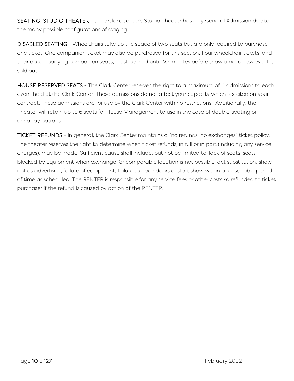<span id="page-9-0"></span>SEATING, STUDIO THEATER - , The Clark Center's Studio Theater has only General Admission due to the many possible configurations of staging.

<span id="page-9-1"></span>DISABLED SEATING - Wheelchairs take up the space of two seats but are only required to purchase one ticket. One companion ticket may also be purchased for this section. Four wheelchair tickets, and their accompanying companion seats, must be held until 30 minutes before show time, unless event is sold out.

<span id="page-9-2"></span>HOUSE RESERVED SEATS - The Clark Center reserves the right to a maximum of 4 admissions to each event held at the Clark Center. These admissions do not affect your capacity which is stated on your contract. These admissions are for use by the Clark Center with no restrictions. Additionally, the Theater will retain up to 6 seats for House Management to use in the case of double-seating or unhappy patrons.

<span id="page-9-3"></span>TICKET REFUNDS - In general, the Clark Center maintains a "no refunds, no exchanges" ticket policy. The theater reserves the right to determine when ticket refunds, in full or in part (including any service charges), may be made. Sufficient cause shall include, but not be limited to: lack of seats, seats blocked by equipment when exchange for comparable location is not possible, act substitution, show not as advertised, failure of equipment, failure to open doors or start show within a reasonable period of time as scheduled. The RENTER is responsible for any service fees or other costs so refunded to ticket purchaser if the refund is caused by action of the RENTER.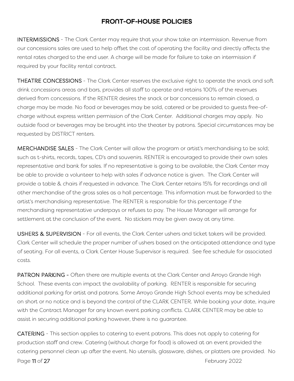#### FRONT-OF-HOUSE POLICIES

<span id="page-10-1"></span><span id="page-10-0"></span>INTERMISSIONS - The Clark Center may require that your show take an intermission. Revenue from our concessions sales are used to help offset the cost of operating the facility and directly affects the rental rates charged to the end user. A charge will be made for failure to take an intermission if required by your facility rental contract.

<span id="page-10-2"></span>THEATRE CONCESSIONS - The Clark Center reserves the exclusive right to operate the snack and soft drink concessions areas and bars, provides all staff to operate and retains 100% of the revenues derived from concessions. If the RENTER desires the snack or bar concessions to remain closed, a charge may be made. No food or beverages may be sold, catered or be provided to guests free-ofcharge without express written permission of the Clark Center. Additional charges may apply. No outside food or beverages may be brought into the theater by patrons. Special circumstances may be requested by DISTRICT renters.

<span id="page-10-3"></span>MERCHANDISE SALES - The Clark Center will allow the program or artist's merchandising to be sold; such as t-shirts, records, tapes, CD's and souvenirs. RENTER is encouraged to provide their own sales representative and bank for sales. If no representative is going to be available, the Clark Center may be able to provide a volunteer to help with sales if advance notice is given. The Clark Center will provide a table & chairs if requested in advance. The Clark Center retains 15% for recordings and all other merchandise of the gross sales as a hall percentage. This information must be forwarded to the artist's merchandising representative. The RENTER is responsible for this percentage if the merchandising representative underpays or refuses to pay. The House Manager will arrange for settlement at the conclusion of the event. No stickers may be given away at any time.

<span id="page-10-4"></span>USHERS & SUPERVISION - For all events, the Clark Center ushers and ticket takers will be provided. Clark Center will schedule the proper number of ushers based on the anticipated attendance and type of seating. For all events, a Clark Center House Supervisor is required. See fee schedule for associated costs.

PATRON PARKING - Often there are multiple events at the Clark Center and Arroyo Grande High School. These events can impact the availability of parking. RENTER is responsible for securing additional parking for artist and patrons. Some Arroyo Grande High School events may be scheduled on short or no notice and is beyond the control of the CLARK CENTER. While booking your date, inquire with the Contract Manager for any known event parking conflicts. CLARK CENTER may be able to assist in securing additional parking however, there is no guarantee.

Page 11 of 27 February 2022 CATERING - This section applies to catering to event patrons. This does not apply to catering for production staff and crew. Catering (without charge for food) is allowed at an event provided the catering personnel clean up after the event. No utensils, glassware, dishes, or platters are provided. No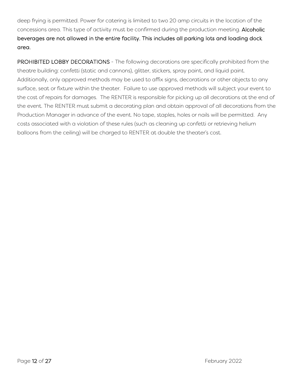deep frying is permitted. Power for catering is limited to two 20 amp circuits in the location of the concessions area. This type of activity must be confirmed during the production meeting. Alcoholic beverages are not allowed in the entire facility. This includes all parking lots and loading dock area.

PROHIBITED LOBBY DECORATIONS - The following decorations are specifically prohibited from the theatre building: confetti (static and cannons), glitter, stickers, spray paint, and liquid paint. Additionally, only approved methods may be used to affix signs, decorations or other objects to any surface, seat or fixture within the theater. Failure to use approved methods will subject your event to the cost of repairs for damages. The RENTER is responsible for picking up all decorations at the end of the event. The RENTER must submit a decorating plan and obtain approval of all decorations from the Production Manager in advance of the event. No tape, staples, holes or nails will be permitted. Any costs associated with a violation of these rules (such as cleaning up confetti or retrieving helium balloons from the ceiling) will be charged to RENTER at double the theater's cost.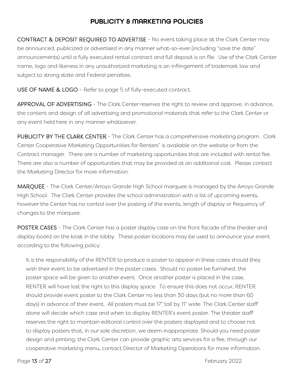#### PUBLICITY & MARKETING POLICIES

<span id="page-12-1"></span><span id="page-12-0"></span>CONTRACT & DEPOSIT REQUIRED TO ADVERTISE - No event taking place at the Clark Center may be announced, publicized or advertised in any manner what-so-ever (including "save the date" announcements) until a fully executed rental contract and full deposit is on file. Use of the Clark Center name, logo and likeness in any unauthorized marketing is an infringement of trademark law and subject to strong state and Federal penalties.

<span id="page-12-2"></span>USE OF NAME & LOGO – Refer to page 5 of fully-executed contract.

APPROVAL OF ADVERTISING - The Clark Center reserves the right to review and approve, in advance, the content and design of all advertising and promotional materials that refer to the Clark Center or any event held here in any manner whatsoever.

<span id="page-12-3"></span>PUBLICITY BY THE CLARK CENTER - The Clark Center has a comprehensive marketing program. Clark Center Cooperative Marketing Opportunities for Renters" is available on the website or from the Contract manager. There are a number of marketing opportunities that are included with rental fee. There are also a number of opportunities that may be provided at an additional cost. Please contact the Marketing Director for more information.

<span id="page-12-4"></span>MARQUEE - The Clark Center/Arroyo Grande High School marquee is managed by the Arroyo Grande High School. The Clark Center provides the school administration with a list of upcoming events, however the Center has no control over the posting of the events, length of display or frequency of changes to the marquee.

<span id="page-12-5"></span>POSTER CASES - The Clark Center has a poster display case on the front facade of the theater and display board on the kiosk in the lobby. These poster locations may be used to announce your event according to the following policy:

It is the responsibility of the RENTER to produce a poster to appear in these cases should they wish their event to be advertised in the poster cases. Should no poster be furnished, the poster space will be given to another event. Once another poster is placed in the case, RENTER will have lost the right to this display space. To ensure this does not occur, RENTER should provide event poster to the Clark Center no less than 30 days (but no more than 60 days) in advance of their event. All posters must be 17" tall by 11" wide. The Clark Center staff alone will decide which case and when to display RENTER's event poster. The theater staff reserves the right to maintain editorial control over the posters displayed and to choose not to display posters that, in our sole discretion, we deem inappropriate. Should you need poster design and printing, the Clark Center can provide graphic arts services for a fee, through our cooperative marketing menu, contact Director of Marketing Operations for more information.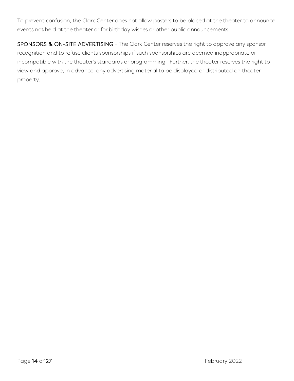To prevent confusion, the Clark Center does not allow posters to be placed at the theater to announce events not held at the theater or for birthday wishes or other public announcements.

<span id="page-13-0"></span>SPONSORS & ON-SITE ADVERTISING - The Clark Center reserves the right to approve any sponsor recognition and to refuse clients sponsorships if such sponsorships are deemed inappropriate or incompatible with the theater's standards or programming. Further, the theater reserves the right to view and approve, in advance, any advertising material to be displayed or distributed on theater property.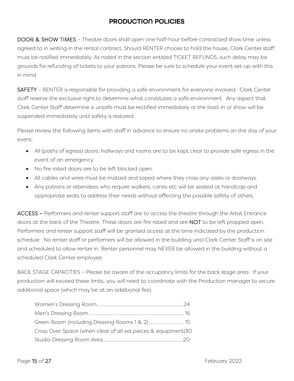#### PRODUCTION POLICIES

<span id="page-14-1"></span><span id="page-14-0"></span>DOOR & SHOW TIMES - Theatre doors shall open one half-hour before contracted show time unless agreed to in writing in the rental contract. Should RENTER choose to hold the house, Clark Center staff must be notified immediately. As noted in the section entitled TICKET REFUNDS, such delay may be grounds for refunding of tickets to your patrons. Please be sure to schedule your event set-up with this in mind.

<span id="page-14-2"></span>SAFETY - RENTER is responsible for providing a safe environment for everyone involved. Clark Center staff reserve the exclusive right to determine what constitutes a safe environment. Any aspect that Clark Center Staff determine is unsafe must be rectified immediately or the load-in or show will be suspended immediately until safety is restored.

Please review the following items with staff in advance to ensure no onsite problems on the day of your event:

- All (paths of egress) doors, hallways and rooms are to be kept clear to provide safe egress in the event of an emergency.
- No fire rated doors are to be left blocked open.
- All cables and wires must be matted and taped where they cross any aisles or doorways.
- Any patrons or attendees who require walkers, canes etc will be seated at handicap and appropriate seats to address their needs without affecting the possible safety of others.

<span id="page-14-3"></span>ACCESS – Performers and renter support staff are to access the theatre through the Artist Entrance doors at the back of the Theatre. These doors are fire rated and are NOT to be left propped open. Performers and renter support staff will be granted access at the time indicated by the production schedule. No renter staff or performers will be allowed in the building until Clark Center Staff is on site and scheduled to allow renter in. Renter personnel may NEVER be allowed in the building without a scheduled Clark Center employee.

BACK STAGE CAPACITIES – Please be aware of the occupancy limits for the back stage area. If your production will exceed these limits, you will need to coordinate with the Production manager to secure additional space (which may be at an additional fee).

| Cross Over Space (when clear of all set pieces & equipment)30 |  |
|---------------------------------------------------------------|--|
|                                                               |  |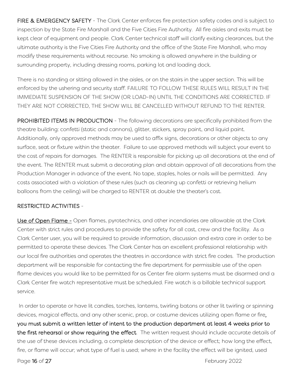<span id="page-15-0"></span>FIRE & EMERGENCY SAFETY - The Clark Center enforces fire protection safety codes and is subject to inspection by the State Fire Marshall and the Five Cities Fire Authority. All fire aisles and exits must be kept clear of equipment and people. Clark Center technical staff will clarify exiting clearances, but the ultimate authority is the Five Cities Fire Authority and the office of the State Fire Marshall, who may modify these requirements without recourse. No smoking is allowed anywhere in the building or surrounding property, including dressing rooms, parking lot and loading dock.

There is no standing or sitting allowed in the aisles, or on the stairs in the upper section. This will be enforced by the ushering and security staff. FAILURE TO FOLLOW THESE RULES WILL RESULT IN THE IMMEDIATE SUSPENSION OF THE SHOW (OR LOAD-IN) UNTIL THE CONDITIONS ARE CORRECTED. IF THEY ARE NOT CORRECTED, THE SHOW WILL BE CANCELLED WITHOUT REFUND TO THE RENTER.

<span id="page-15-1"></span>PROHIBITED ITEMS IN PRODUCTION - The following decorations are specifically prohibited from the theatre building: confetti (static and cannons), glitter, stickers, spray paint, and liquid paint. Additionally, only approved methods may be used to affix signs, decorations or other objects to any surface, seat or fixture within the theater. Failure to use approved methods will subject your event to the cost of repairs for damages. The RENTER is responsible for picking up all decorations at the end of the event. The RENTER must submit a decorating plan and obtain approval of all decorations from the Production Manager in advance of the event. No tape, staples, holes or nails will be permitted. Any costs associated with a violation of these rules (such as cleaning up confetti or retrieving helium balloons from the ceiling) will be charged to RENTER at double the theater's cost.

#### <span id="page-15-2"></span>RESTRICTED ACTIVITIES -

Use of Open Flame - Open flames, pyrotechnics, and other incendiaries are allowable at the Clark Center with strict rules and procedures to provide the safety for all cast, crew and the facility. As a Clark Center user, you will be required to provide information, discussion and extra care in order to be permitted to operate these devices. The Clark Center has an excellent professional relationship with our local fire authorities and operates the theatres in accordance with strict fire codes. The production department will be responsible for contacting the fire department for permissible use of the open flame devices you would like to be permitted for as Center fire alarm systems must be disarmed and a Clark Center fire watch representative must be scheduled. Fire watch is a billable technical support service.

In order to operate or have lit candles, torches, lanterns, twirling batons or other lit twirling or spinning devices, magical effects, and any other scenic, prop, or costume devices utilizing open flame or fire, you must submit a written letter of intent to the production department at least 4 weeks prior to the first rehearsal or show requiring the effect. The written request should include accurate details of the use of these devices including, a complete description of the device or effect; how long the effect, fire, or flame will occur; what type of fuel is used; where in the facility the effect will be ignited, used

Page 16 of 27 February 2022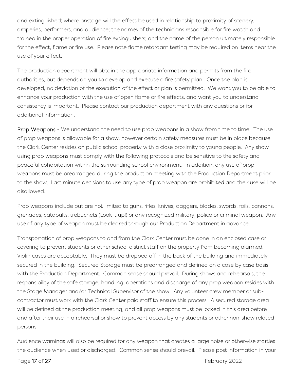and extinguished; where onstage will the effect be used in relationship to proximity of scenery, draperies, performers, and audience; the names of the technicians responsible for fire watch and trained in the proper operation of fire extinguishers; and the name of the person ultimately responsible for the effect, flame or fire use. Please note flame retardant testing may be required on items near the use of your effect.

The production department will obtain the appropriate information and permits from the fire authorities, but depends on you to develop and execute a fire safety plan. Once the plan is developed, no deviation of the execution of the effect or plan is permitted. We want you to be able to enhance your production with the use of open flame or fire effects, and want you to understand consistency is important. Please contact our production department with any questions or for additional information.

Prop Weapons - We understand the need to use prop weapons in a show from time to time. The use of prop weapons is allowable for a show, however certain safety measures must be in place because the Clark Center resides on public school property with a close proximity to young people. Any show using prop weapons must comply with the following protocols and be sensitive to the safety and peaceful cohabitation within the surrounding school environment. In addition, any use of prop weapons must be prearranged during the production meeting with the Production Department prior to the show. Last minute decisions to use any type of prop weapon are prohibited and their use will be disallowed.

Prop weapons include but are not limited to guns, rifles, knives, daggers, blades, swords, foils, cannons, grenades, catapults, trebuchets (Look it up!) or any recognized military, police or criminal weapon. Any use of any type of weapon must be cleared through our Production Department in advance.

Transportation of prop weapons to and from the Clark Center must be done in an enclosed case or covering to prevent students or other school district staff on the property from becoming alarmed. Violin cases are acceptable. They must be dropped off in the back of the building and immediately secured in the building. Secured Storage must be prearranged and defined on a case by case basis with the Production Department. Common sense should prevail. During shows and rehearsals, the responsibility of the safe storage, handling, operations and discharge of any prop weapon resides with the Stage Manager and/or Technical Supervisor of the show. Any volunteer crew member or subcontractor must work with the Clark Center paid staff to ensure this process. A secured storage area will be defined at the production meeting, and all prop weapons must be locked in this area before and after their use in a rehearsal or show to prevent access by any students or other non-show related persons.

Audience warnings will also be required for any weapon that creates a large noise or otherwise startles the audience when used or discharged. Common sense should prevail. Please post information in your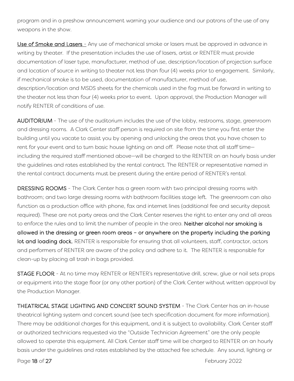program and in a preshow announcement warning your audience and our patrons of the use of any weapons in the show.

Use of Smoke and Lasers - Any use of mechanical smoke or lasers must be approved in advance in writing by theater. If the presentation includes the use of lasers, artist or RENTER must provide documentation of laser type, manufacturer, method of use, description/location of projection surface and location of source in writing to theater not less than four (4) weeks prior to engagement. Similarly, if mechanical smoke is to be used, documentation of manufacturer, method of use, description/location and MSDS sheets for the chemicals used in the fog must be forward in writing to the theater not less than four (4) weeks prior to event. Upon approval, the Production Manager will notify RENTER of conditions of use.

AUDITORIUM - The use of the auditorium includes the use of the lobby, restrooms, stage, greenroom and dressing rooms. A Clark Center staff person is required on site from the time you first enter the building until you vacate to assist you by opening and unlocking the areas that you have chosen to rent for your event and to turn basic house lighting on and off. Please note that all staff time including the required staff mentioned above—will be charged to the RENTER on an hourly basis under the guidelines and rates established by the rental contract. The RENTER or representative named in the rental contract documents must be present during the entire period of RENTER's rental.

<span id="page-17-0"></span>DRESSING ROOMS - The Clark Center has a green room with two principal dressing rooms with bathroom; and two large dressing rooms with bathroom facilities stage left. The greenroom can also function as a production office with phone, fax and internet lines (additional fee and security deposit required). These are not party areas and the Clark Center reserves the right to enter any and all areas to enforce the rules and to limit the number of people in the area. Neither alcohol nor smoking is allowed in the dressing or green room areas – or anywhere on the property including the parking lot and loading dock. RENTER is responsible for ensuring that all volunteers, staff, contractor, actors and performers of RENTER are aware of the policy and adhere to it. The RENTER is responsible for clean-up by placing all trash in bags provided.

<span id="page-17-1"></span>STAGE FLOOR - At no time may RENTER or RENTER's representative drill, screw, glue or nail sets props or equipment into the stage floor (or any other portion) of the Clark Center without written approval by the Production Manager.

<span id="page-17-2"></span>THEATRICAL STAGE LIGHTING AND CONCERT SOUND SYSTEM - The Clark Center has an in-house theatrical lighting system and concert sound (see tech specification document for more information). There may be additional charges for this equipment, and it is subject to availability. Clark Center staff or authorized technicians requested via the "Outside Technician Agreement" are the only people allowed to operate this equipment. All Clark Center staff time will be charged to RENTER on an hourly basis under the guidelines and rates established by the attached fee schedule. Any sound, lighting or

Page 18 of 27 February 2022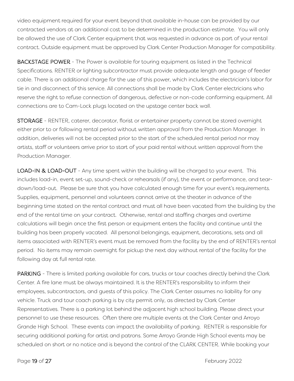video equipment required for your event beyond that available in-house can be provided by our contracted vendors at an additional cost to be determined in the production estimate. You will only be allowed the use of Clark Center equipment that was requested in advance as part of your rental contract. Outside equipment must be approved by Clark Center Production Manager for compatibility.

BACKSTAGE POWER - The Power is available for touring equipment as listed in the Technical Specifications. RENTER or lighting subcontractor must provide adequate length and gauge of feeder cable. There is an additional charge for the use of this power, which includes the electrician's labor for tie in and disconnect of this service. All connections shall be made by Clark Center electricians who reserve the right to refuse connection of dangerous, defective or non-code conforming equipment. All connections are to Cam-Lock plugs located on the upstage center back wall.

<span id="page-18-0"></span>STORAGE - RENTER, caterer, decorator, florist or entertainer property cannot be stored overnight either prior to or following rental period without written approval from the Production Manager. In addition, deliveries will not be accepted prior to the start of the scheduled rental period nor may artists, staff or volunteers arrive prior to start of your paid rental without written approval from the Production Manager.

<span id="page-18-1"></span>LOAD-IN & LOAD-OUT - Any time spent within the building will be charged to your event. This includes load-in, event set-up, sound-check or rehearsals (if any), the event or performance, and teardown/load-out. Please be sure that you have calculated enough time for your event's requirements. Supplies, equipment, personnel and volunteers cannot arrive at the theater in advance of the beginning time stated on the rental contract and must all have been vacated from the building by the end of the rental time on your contract. Otherwise, rental and staffing charges and overtime calculations will begin once the first person or equipment enters the facility and continue until the building has been properly vacated. All personal belongings, equipment, decorations, sets and all items associated with RENTER's event must be removed from the facility by the end of RENTER's rental period. No items may remain overnight for pickup the next day without rental of the facility for the following day at full rental rate.

<span id="page-18-2"></span>PARKING - There is limited parking available for cars, trucks or tour coaches directly behind the Clark Center. A fire lane must be always maintained. It is the RENTER's responsibility to inform their employees, subcontractors, and guests of this policy. The Clark Center assumes no liability for any vehicle. Truck and tour coach parking is by city permit only, as directed by Clark Center Representatives. There is a parking lot behind the adjacent high school building. Please direct your personnel to use these resources. Often there are multiple events at the Clark Center and Arroyo Grande High School. These events can impact the availability of parking. RENTER is responsible for securing additional parking for artist and patrons. Some Arroyo Grande High School events may be scheduled on short or no notice and is beyond the control of the CLARK CENTER. While booking your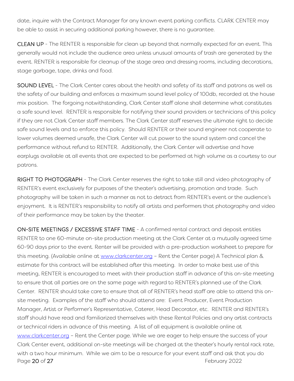date, inquire with the Contract Manager for any known event parking conflicts. CLARK CENTER may be able to assist in securing additional parking however, there is no guarantee.

<span id="page-19-0"></span>CLEAN UP - The RENTER is responsible for clean up beyond that normally expected for an event. This generally would not include the audience area unless unusual amounts of trash are generated by the event. RENTER is responsible for cleanup of the stage area and dressing rooms, including decorations, stage garbage, tape, drinks and food.

<span id="page-19-1"></span>SOUND LEVEL - The Clark Center cares about the health and safety of its staff and patrons as well as the safety of our building and enforces a maximum sound level policy of 100db, recorded at the house mix position. The forgoing notwithstanding, Clark Center staff alone shall determine what constitutes a safe sound level. RENTER is responsible for notifying their sound providers or technicians of this policy if they are not Clark Center staff members. The Clark Center staff reserves the ultimate right to decide safe sound levels and to enforce this policy. Should RENTER or their sound engineer not cooperate to lower volumes deemed unsafe, the Clark Center will cut power to the sound system and cancel the performance without refund to RENTER. Additionally, the Clark Center will advertise and have earplugs available at all events that are expected to be performed at high volume as a courtesy to our patrons.

<span id="page-19-2"></span>RIGHT TO PHOTOGRAPH - The Clark Center reserves the right to take still and video photography of RENTER's event exclusively for purposes of the theater's advertising, promotion and trade. Such photography will be taken in such a manner as not to detract from RENTER's event or the audience's enjoyment. It is RENTER's responsibility to notify all artists and performers that photography and video of their performance may be taken by the theater.

<span id="page-19-3"></span>Page 20 of 27 February 2022 ON-SITE MEETINGS / EXCESSIVE STAFF TIME - A confirmed rental contract and deposit entitles RENTER to one 60-minute on-site production meeting at the Clark Center at a mutually agreed time 60-90 days prior to the event. Renter will be provided with a pre-production worksheet to prepare for this meeting. (Available online at [www.clarkcenter.org](http://www.clarkcenter.org/) - Rent the Center page) A Technical plan & estimate for this contract will be established after this meeting. In order to make best use of this meeting, RENTER is encouraged to meet with their production staff in advance of this on-site meeting to ensure that all parties are on the same page with regard to RENTER's planned use of the Clark Center. RENTER should take care to ensure that all of RENTER's head staff are able to attend this onsite meeting. Examples of the staff who should attend are: Event Producer, Event Production Manager, Artist or Performer's Representative, Caterer, Head Decorator, etc. RENTER and RENTER's staff should have read and familiarized themselves with these Rental Policies and any artist contracts or technical riders in advance of this meeting. A list of all equipment is available online at [www.clarkcenter.org](http://www.clarkcenter.org/) – Rent the Center page. While we are eager to help ensure the success of your Clark Center event, additional on-site meetings will be charged at the theater's hourly rental rack rate, with a two hour minimum. While we aim to be a resource for your event staff and ask that you do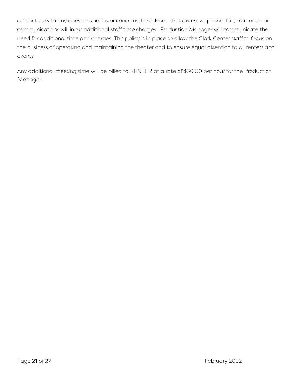contact us with any questions, ideas or concerns, be advised that excessive phone, fax, mail or email communications will incur additional staff time charges. Production Manager will communicate the need for additional time and charges. This policy is in place to allow the Clark Center staff to focus on the business of operating and maintaining the theater and to ensure equal attention to all renters and events.

Any additional meeting time will be billed to RENTER at a rate of \$30.00 per hour for the Production Manager.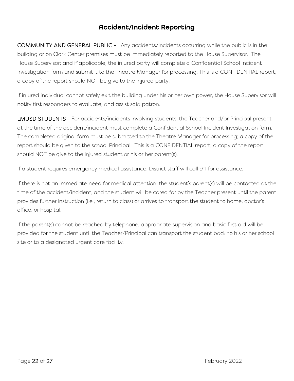#### Accident/Incident Reporting

<span id="page-21-1"></span><span id="page-21-0"></span>COMMUNITY AND GENERAL PUBLIC - Any accidents/incidents occurring while the public is in the building or on Clark Center premises must be immediately reported to the House Supervisor. The House Supervisor; and if applicable, the injured party will complete a Confidential School Incident Investigation form and submit it to the Theatre Manager for processing. This is a CONFIDENTIAL report; a copy of the report should NOT be give to the injured party.

If injured individual cannot safely exit the building under his or her own power, the House Supervisor will notify first responders to evaluate, and assist said patron.

<span id="page-21-2"></span>LMUSD STUDENTS - For accidents/incidents involving students, the Teacher and/or Principal present at the time of the accident/incident must complete a Confidential School Incident Investigation form. The completed original form must be submitted to the Theatre Manager for processing; a copy of the report should be given to the school Principal. This is a CONFIDENTIAL report; a copy of the report should NOT be give to the injured student or his or her parent(s).

If a student requires emergency medical assistance, District staff will call 911 for assistance.

If there is not an immediate need for medical attention, the student's parent(s) will be contacted at the time of the accident/incident, and the student will be cared for by the Teacher present until the parent provides further instruction (i.e., return to class) or arrives to transport the student to home, doctor's office, or hospital.

If the parent(s) cannot be reached by telephone, appropriate supervision and basic first aid will be provided for the student until the Teacher/Principal can transport the student back to his or her school site or to a designated urgent care facility.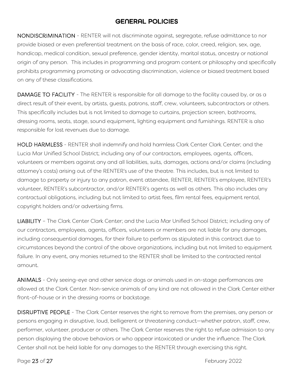#### GENERAL POLICIES

<span id="page-22-1"></span><span id="page-22-0"></span>NONDISCRIMINATION - RENTER will not discriminate against, segregate, refuse admittance to nor provide biased or even preferential treatment on the basis of race, color, creed, religion, sex, age, handicap, medical condition, sexual preference, gender identity, marital status, ancestry or national origin of any person. This includes in programming and program content or philosophy and specifically prohibits programming promoting or advocating discrimination, violence or biased treatment based on any of these classifications.

<span id="page-22-2"></span>DAMAGE TO FACILITY - The RENTER is responsible for all damage to the facility caused by, or as a direct result of their event, by artists, guests, patrons, staff, crew, volunteers, subcontractors or others. This specifically includes but is not limited to damage to curtains, projection screen, bathrooms, dressing rooms, seats, stage, sound equipment, lighting equipment and furnishings. RENTER is also responsible for lost revenues due to damage.

<span id="page-22-3"></span>HOLD HARMLESS - RENTER shall indemnify and hold harmless Clark Center Clark Center; and the Lucia Mar Unified School District; including any of our contractors, employees, agents, officers, volunteers or members against any and all liabilities, suits, damages, actions and/or claims (including attorney's costs) arising out of the RENTER's use of the theatre. This includes, but is not limited to damage to property or injury to any patron, event attendee, RENTER, RENTER's employee, RENTER's volunteer, RENTER's subcontractor, and/or RENTER's agents as well as others. This also includes any contractual obligations, including but not limited to artist fees, film rental fees, equipment rental, copyright holders and/or advertising firms.

<span id="page-22-4"></span>LIABILITY – The Clark Center Clark Center; and the Lucia Mar Unified School District; including any of our contractors, employees, agents, officers, volunteers or members are not liable for any damages, including consequential damages, for their failure to perform as stipulated in this contract due to circumstances beyond the control of the above organizations, including but not limited to equipment failure. In any event, any monies returned to the RENTER shall be limited to the contracted rental amount.

<span id="page-22-5"></span>ANIMALS - Only seeing-eye and other service dogs or animals used in on-stage performances are allowed at the Clark Center. Non-service animals of any kind are not allowed in the Clark Center either front-of-house or in the dressing rooms or backstage.

<span id="page-22-6"></span>DISRUPTIVE PEOPLE - The Clark Center reserves the right to remove from the premises, any person or persons engaging in disruptive, loud, belligerent or threatening conduct—whether patron, staff, crew, performer, volunteer, producer or others. The Clark Center reserves the right to refuse admission to any person displaying the above behaviors or who appear intoxicated or under the influence. The Clark Center shall not be held liable for any damages to the RENTER through exercising this right.

Page 23 of 27 February 2022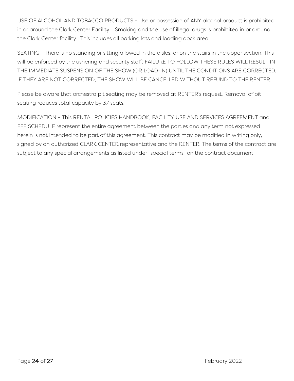<span id="page-23-0"></span>USE OF ALCOHOL AND TOBACCO PRODUCTS – Use or possession of ANY alcohol product is prohibited in or around the Clark Center Facility. Smoking and the use of illegal drugs is prohibited in or around the Clark Center facility. This includes all parking lots and loading dock area.

<span id="page-23-1"></span>SEATING - There is no standing or sitting allowed in the aisles, or on the stairs in the upper section. This will be enforced by the ushering and security staff. FAILURE TO FOLLOW THESE RULES WILL RESULT IN THE IMMEDIATE SUSPENSION OF THE SHOW (OR LOAD-IN) UNTIL THE CONDITIONS ARE CORRECTED. IF THEY ARE NOT CORRECTED, THE SHOW WILL BE CANCELLED WITHOUT REFUND TO THE RENTER.

Please be aware that orchestra pit seating may be removed at RENTER's request. Removal of pit seating reduces total capacity by 37 seats.

<span id="page-23-2"></span>MODIFICATION - This RENTAL POLICIES HANDBOOK, FACILITY USE AND SERVICES AGREEMENT and FEE SCHEDULE represent the entire agreement between the parties and any term not expressed herein is not intended to be part of this agreement. This contract may be modified in writing only, signed by an authorized CLARK CENTER representative and the RENTER. The terms of the contract are subject to any special arrangements as listed under "special terms" on the contract document.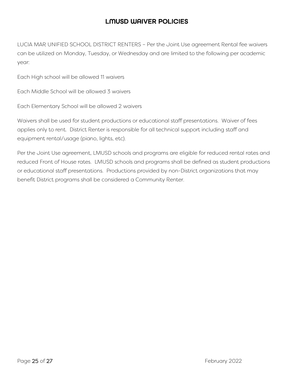#### LMUSD WAIVER POLICIES

<span id="page-24-0"></span>LUCIA MAR UNIFIED SCHOOL DISTRICT RENTERS – Per the Joint Use agreement Rental fee waivers can be utilized on Monday, Tuesday, or Wednesday and are limited to the following per academic year:

Each High school will be allowed 11 waivers

Each Middle School will be allowed 3 waivers

Each Elementary School will be allowed 2 waivers

Waivers shall be used for student productions or educational staff presentations. Waiver of fees applies only to rent. District Renter is responsible for all technical support including staff and equipment rental/usage (piano, lights, etc).

Per the Joint Use agreement, LMUSD schools and programs are eligible for reduced rental rates and reduced Front of House rates. LMUSD schools and programs shall be defined as student productions or educational staff presentations. Productions provided by non-District organizations that may benefit District programs shall be considered a Community Renter.